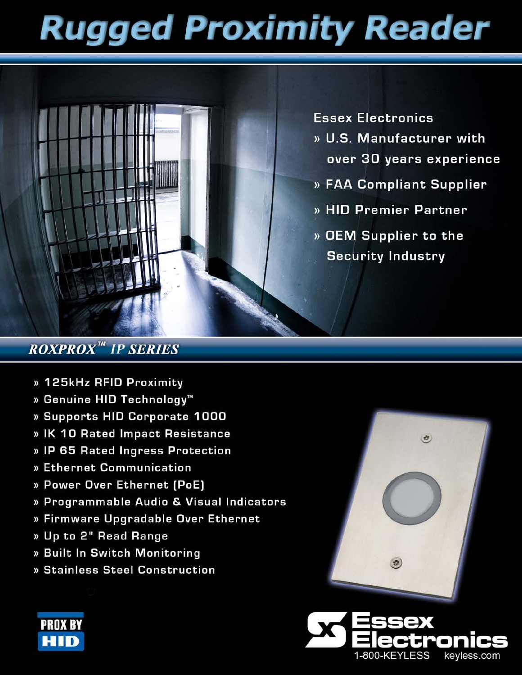# **Rugged Proximity Reader**



**Essex Electronics** 

- » U.S. Manufacturer with over 30 years experience
- » FAA Compliant Supplier
- » HID Premier Partner
- » OEM Supplier to the **Security Industry**

### **ROXPROX<sup>™</sup> IP SERIES**

- » 125kHz RFID Proximity
- » Genuine HID Technology<sup>™</sup>
- » Supports HID Corporate 1000
- » IK 10 Rated Impact Resistance
- » IP 65 Rated Ingress Protection
- » Ethernet Communication
- » Power Over Ethernet (PoE)
- » Programmable Audio & Visual Indicators
- » Firmware Upgradable Over Ethernet
- » Up to 2" Read Range
- » Built In Switch Monitoring
- » Stainless Steel Construction